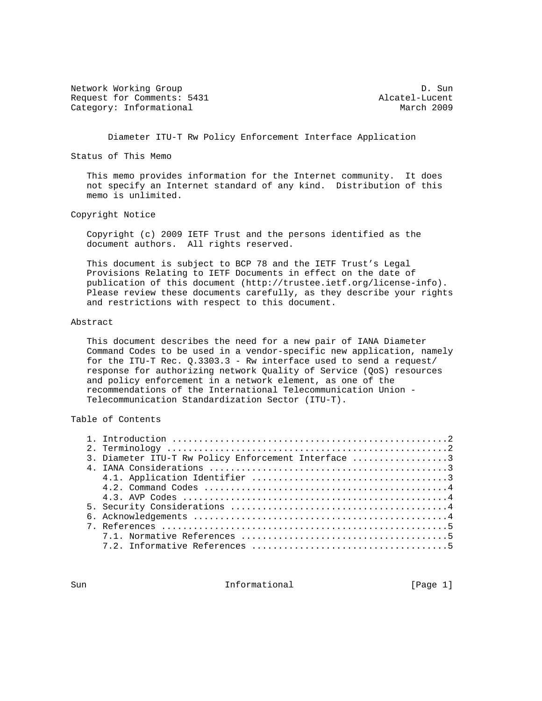Network Working Group Deck and the United States of D. Sun Request for Comments: 5431 Alcatel-Lucent<br>Category: Informational and March 2009 Category: Informational

Diameter ITU-T Rw Policy Enforcement Interface Application

Status of This Memo

 This memo provides information for the Internet community. It does not specify an Internet standard of any kind. Distribution of this memo is unlimited.

Copyright Notice

 Copyright (c) 2009 IETF Trust and the persons identified as the document authors. All rights reserved.

 This document is subject to BCP 78 and the IETF Trust's Legal Provisions Relating to IETF Documents in effect on the date of publication of this document (http://trustee.ietf.org/license-info). Please review these documents carefully, as they describe your rights and restrictions with respect to this document.

### Abstract

 This document describes the need for a new pair of IANA Diameter Command Codes to be used in a vendor-specific new application, namely for the ITU-T Rec. Q.3303.3 - Rw interface used to send a request/ response for authorizing network Quality of Service (QoS) resources and policy enforcement in a network element, as one of the recommendations of the International Telecommunication Union - Telecommunication Standardization Sector (ITU-T).

# Table of Contents

|  | 3. Diameter ITU-T Rw Policy Enforcement Interface 3 |
|--|-----------------------------------------------------|
|  |                                                     |
|  |                                                     |
|  |                                                     |
|  |                                                     |
|  |                                                     |
|  |                                                     |
|  |                                                     |
|  |                                                     |
|  |                                                     |
|  |                                                     |

Sun Informational [Page 1]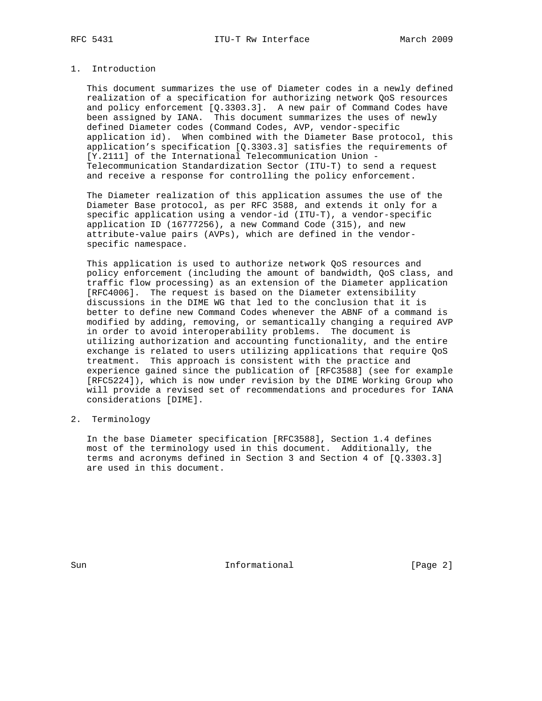## 1. Introduction

 This document summarizes the use of Diameter codes in a newly defined realization of a specification for authorizing network QoS resources and policy enforcement [Q.3303.3]. A new pair of Command Codes have been assigned by IANA. This document summarizes the uses of newly defined Diameter codes (Command Codes, AVP, vendor-specific application id). When combined with the Diameter Base protocol, this application's specification [Q.3303.3] satisfies the requirements of [Y.2111] of the International Telecommunication Union - Telecommunication Standardization Sector (ITU-T) to send a request and receive a response for controlling the policy enforcement.

 The Diameter realization of this application assumes the use of the Diameter Base protocol, as per RFC 3588, and extends it only for a specific application using a vendor-id (ITU-T), a vendor-specific application ID (16777256), a new Command Code (315), and new attribute-value pairs (AVPs), which are defined in the vendor specific namespace.

 This application is used to authorize network QoS resources and policy enforcement (including the amount of bandwidth, QoS class, and traffic flow processing) as an extension of the Diameter application [RFC4006]. The request is based on the Diameter extensibility discussions in the DIME WG that led to the conclusion that it is better to define new Command Codes whenever the ABNF of a command is modified by adding, removing, or semantically changing a required AVP in order to avoid interoperability problems. The document is utilizing authorization and accounting functionality, and the entire exchange is related to users utilizing applications that require QoS treatment. This approach is consistent with the practice and experience gained since the publication of [RFC3588] (see for example [RFC5224]), which is now under revision by the DIME Working Group who will provide a revised set of recommendations and procedures for IANA considerations [DIME].

### 2. Terminology

 In the base Diameter specification [RFC3588], Section 1.4 defines most of the terminology used in this document. Additionally, the terms and acronyms defined in Section 3 and Section 4 of [Q.3303.3] are used in this document.

Sun Informational [Page 2]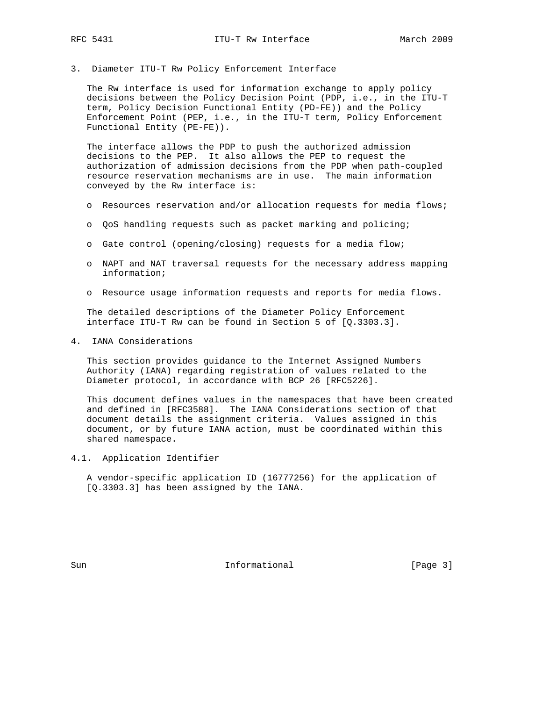3. Diameter ITU-T Rw Policy Enforcement Interface

 The Rw interface is used for information exchange to apply policy decisions between the Policy Decision Point (PDP, i.e., in the ITU-T term, Policy Decision Functional Entity (PD-FE)) and the Policy Enforcement Point (PEP, i.e., in the ITU-T term, Policy Enforcement Functional Entity (PE-FE)).

 The interface allows the PDP to push the authorized admission decisions to the PEP. It also allows the PEP to request the authorization of admission decisions from the PDP when path-coupled resource reservation mechanisms are in use. The main information conveyed by the Rw interface is:

- o Resources reservation and/or allocation requests for media flows;
- o QoS handling requests such as packet marking and policing;
- o Gate control (opening/closing) requests for a media flow;
- o NAPT and NAT traversal requests for the necessary address mapping information;
- o Resource usage information requests and reports for media flows.

 The detailed descriptions of the Diameter Policy Enforcement interface ITU-T Rw can be found in Section 5 of [Q.3303.3].

4. IANA Considerations

 This section provides guidance to the Internet Assigned Numbers Authority (IANA) regarding registration of values related to the Diameter protocol, in accordance with BCP 26 [RFC5226].

 This document defines values in the namespaces that have been created and defined in [RFC3588]. The IANA Considerations section of that document details the assignment criteria. Values assigned in this document, or by future IANA action, must be coordinated within this shared namespace.

4.1. Application Identifier

 A vendor-specific application ID (16777256) for the application of [Q.3303.3] has been assigned by the IANA.

Sun Informational [Page 3]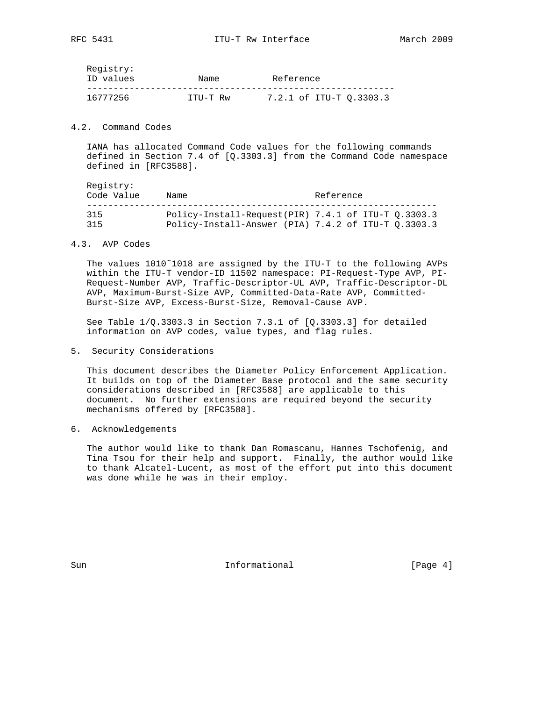| Registry: |          |                         |
|-----------|----------|-------------------------|
| ID values | Name     | Reference               |
|           |          |                         |
| 16777256  | TTU-T Rw | 7.2.1 of ITU-T 0.3303.3 |

### 4.2. Command Codes

 IANA has allocated Command Code values for the following commands defined in Section 7.4 of [Q.3303.3] from the Command Code namespace defined in [RFC3588].

 Registry: Code Value Name Name Reference ------------------------------------------------------------------ 315 Policy-Install-Request(PIR) 7.4.1 of ITU-T Q.3303.3 315 Policy-Install-Answer (PIA) 7.4.2 of ITU-T Q.3303.3

### 4.3. AVP Codes

 The values 1010˜1018 are assigned by the ITU-T to the following AVPs within the ITU-T vendor-ID 11502 namespace: PI-Request-Type AVP, PI- Request-Number AVP, Traffic-Descriptor-UL AVP, Traffic-Descriptor-DL AVP, Maximum-Burst-Size AVP, Committed-Data-Rate AVP, Committed- Burst-Size AVP, Excess-Burst-Size, Removal-Cause AVP.

See Table  $1/Q.3303.3$  in Section 7.3.1 of  $[Q.3303.3]$  for detailed information on AVP codes, value types, and flag rules.

5. Security Considerations

 This document describes the Diameter Policy Enforcement Application. It builds on top of the Diameter Base protocol and the same security considerations described in [RFC3588] are applicable to this document. No further extensions are required beyond the security mechanisms offered by [RFC3588].

6. Acknowledgements

 The author would like to thank Dan Romascanu, Hannes Tschofenig, and Tina Tsou for their help and support. Finally, the author would like to thank Alcatel-Lucent, as most of the effort put into this document was done while he was in their employ.

Sun **Informational Informational** [Page 4]